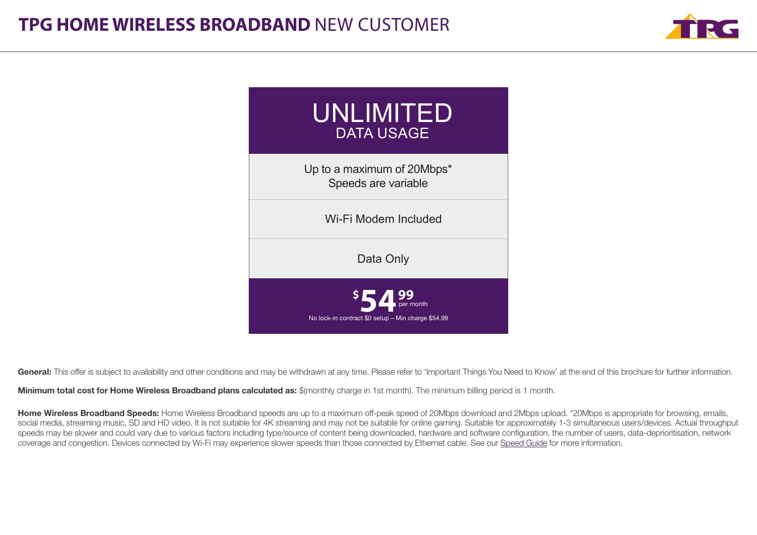



General: This offer is subject to availability and other conditions and may be withdrawn at any time. Please refer to 'Important Things You Need to Know' at the end of this brochure for further information.

Minimum total cost for Home Wireless Broadband plans calculated as: \$(monthly charge in 1st month). The minimum billing period is 1 month.

Home Wireless Broadband Speeds: Home Wireless Broadband speeds are up to a maximum off-peak speed of 20Mbps download and 2Mbps upload. \*20Mbps is appropriate for browsing, emails, social media, streaming music, SD and HD video. It is not suitable for 4K streaming and may not be suitable for online gaming. Suitable for approximately 1-3 simultaneous users/devices. Actual throughput speeds may be slower and could vary due to various factors including type/source of content being downloaded, hardware and software configuration, the number of users, data-deprioritisation, network coverage and congestion. Devices connected by Wi-Fi may experience slower speeds than those connected by Ethernet cable. See our [Speed Guide](https://www.tpg.com.au/content/home-wireless-speed-guide) for more information.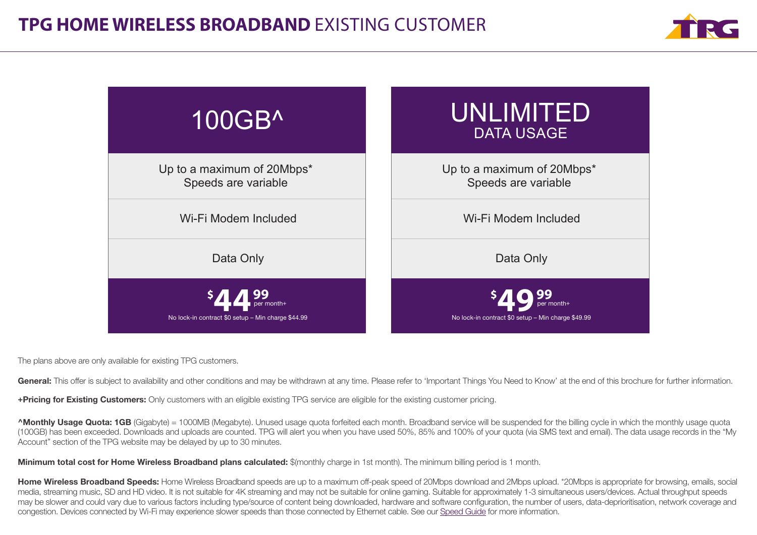



The plans above are only available for existing TPG customers.

General: This offer is subject to availability and other conditions and may be withdrawn at any time. Please refer to 'Important Things You Need to Know' at the end of this brochure for further information.

+Pricing for Existing Customers: Only customers with an eligible existing TPG service are eligible for the existing customer pricing.

**AMonthly Usage Quota: 1GB** (Gigabyte) = 1000MB (Megabyte). Unused usage quota forfeited each month. Broadband service will be suspended for the billing cycle in which the monthly usage quota (100GB) has been exceeded. Downloads and uploads are counted. TPG will alert you when you have used 50%, 85% and 100% of your quota (via SMS text and email). The data usage records in the "My Account" section of the TPG website may be delayed by up to 30 minutes.

Minimum total cost for Home Wireless Broadband plans calculated: \$(monthly charge in 1st month). The minimum billing period is 1 month.

Home Wireless Broadband Speeds: Home Wireless Broadband speeds are up to a maximum off-peak speed of 20Mbps download and 2Mbps upload. \*20Mbps is appropriate for browsing, emails, social media, streaming music, SD and HD video. It is not suitable for 4K streaming and may not be suitable for online gaming. Suitable for approximately 1-3 simultaneous users/devices. Actual throughput speeds may be slower and could vary due to various factors including type/source of content being downloaded, hardware and software configuration, the number of users, data-deprioritisation, network coverage and congestion. Devices connected by Wi-Fi may experience slower speeds than those connected by Ethernet cable. See our [Speed Guide](https://www.tpg.com.au/content/home-wireless-speed-guide) for more information.